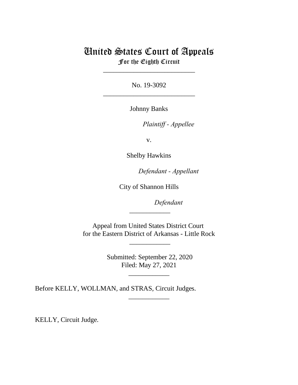# United States Court of Appeals For the Eighth Circuit

\_\_\_\_\_\_\_\_\_\_\_\_\_\_\_\_\_\_\_\_\_\_\_\_\_\_\_

No. 19-3092 \_\_\_\_\_\_\_\_\_\_\_\_\_\_\_\_\_\_\_\_\_\_\_\_\_\_\_

Johnny Banks

Plaintiff - Appellee

v.

Shelby Hawkins

Defendant - Appellant

City of Shannon Hills

Defendant

Appeal from United States District Court for the Eastern District of Arkansas - Little Rock

 $\overline{\phantom{a}}$ 

 $\overline{\phantom{a}}$   $\overline{\phantom{a}}$   $\overline{\phantom{a}}$   $\overline{\phantom{a}}$   $\overline{\phantom{a}}$   $\overline{\phantom{a}}$   $\overline{\phantom{a}}$   $\overline{\phantom{a}}$   $\overline{\phantom{a}}$   $\overline{\phantom{a}}$   $\overline{\phantom{a}}$   $\overline{\phantom{a}}$   $\overline{\phantom{a}}$   $\overline{\phantom{a}}$   $\overline{\phantom{a}}$   $\overline{\phantom{a}}$   $\overline{\phantom{a}}$   $\overline{\phantom{a}}$   $\overline{\$ 

 Submitted: September 22, 2020 Filed: May 27, 2021

\_\_\_\_\_\_\_\_\_\_\_\_

\_\_\_\_\_\_\_\_\_\_\_\_

Before KELLY, WOLLMAN, and STRAS, Circuit Judges.

KELLY, Circuit Judge.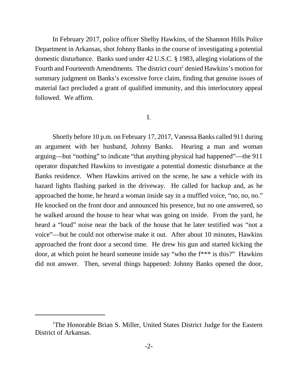In February 2017, police officer Shelby Hawkins, of the Shannon Hills Police Department in Arkansas, shot Johnny Banks in the course of investigating a potential domestic disturbance. Banks sued under 42 U.S.C. § 1983, alleging violations of the Fourth and Fourteenth Amendments. The district court<sup>1</sup> denied Hawkins's motion for summary judgment on Banks's excessive force claim, finding that genuine issues of material fact precluded a grant of qualified immunity, and this interlocutory appeal followed. We affirm.

#### I.

Shortly before 10 p.m. on February 17, 2017, Vanessa Banks called 911 during an argument with her husband, Johnny Banks. Hearing a man and woman arguing—but "nothing" to indicate "that anything physical had happened"—the 911 operator dispatched Hawkins to investigate a potential domestic disturbance at the Banks residence. When Hawkins arrived on the scene, he saw a vehicle with its hazard lights flashing parked in the driveway. He called for backup and, as he approached the home, he heard a woman inside say in a muffled voice, "no, no, no." He knocked on the front door and announced his presence, but no one answered, so he walked around the house to hear what was going on inside. From the yard, he heard a "loud" noise near the back of the house that he later testified was "not a voice"—but he could not otherwise make it out. After about 10 minutes, Hawkins approached the front door a second time. He drew his gun and started kicking the door, at which point he heard someone inside say "who the f\*\*\* is this?" Hawkins did not answer. Then, several things happened: Johnny Banks opened the door,

<sup>&</sup>lt;sup>1</sup>The Honorable Brian S. Miller, United States District Judge for the Eastern District of Arkansas.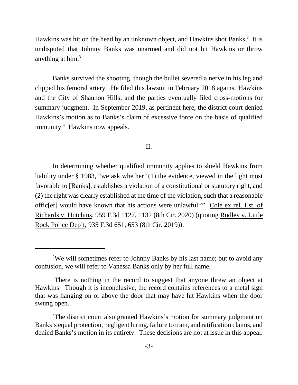Hawkins was hit on the head by an unknown object, and Hawkins shot Banks.<sup>2</sup> It is undisputed that Johnny Banks was unarmed and did not hit Hawkins or throw anything at him. $3$ 

Banks survived the shooting, though the bullet severed a nerve in his leg and clipped his femoral artery. He filed this lawsuit in February 2018 against Hawkins and the City of Shannon Hills, and the parties eventually filed cross-motions for summary judgment. In September 2019, as pertinent here, the district court denied Hawkins's motion as to Banks's claim of excessive force on the basis of qualified immunity.<sup>4</sup> Hawkins now appeals.

### II.

In determining whether qualified immunity applies to shield Hawkins from liability under § 1983, "we ask whether '(1) the evidence, viewed in the light most favorable to [Banks], establishes a violation of a constitutional or statutory right, and (2) the right was clearly established at the time of the violation, such that a reasonable offic[er] would have known that his actions were unlawful.'" Cole ex rel. Est. of Richards v. Hutchins, 959 F.3d 1127, 1132 (8th Cir. 2020) (quoting Rudley v. Little Rock Police Dep't, 935 F.3d 651, 653 (8th Cir. 2019)).

<sup>&</sup>lt;sup>2</sup>We will sometimes refer to Johnny Banks by his last name; but to avoid any confusion, we will refer to Vanessa Banks only by her full name.

<sup>&</sup>lt;sup>3</sup>There is nothing in the record to suggest that anyone threw an object at Hawkins. Though it is inconclusive, the record contains references to a metal sign that was hanging on or above the door that may have hit Hawkins when the door swung open.

<sup>&</sup>lt;sup>4</sup>The district court also granted Hawkins's motion for summary judgment on Banks's equal protection, negligent hiring, failure to train, and ratification claims, and denied Banks's motion in its entirety. These decisions are not at issue in this appeal.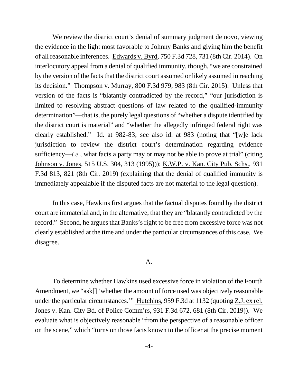We review the district court's denial of summary judgment de novo, viewing the evidence in the light most favorable to Johnny Banks and giving him the benefit of all reasonable inferences. Edwards v. Byrd, 750 F.3d 728, 731 (8th Cir. 2014). On interlocutory appeal from a denial of qualified immunity, though, "we are constrained by the version of the facts that the district court assumed or likely assumed in reaching its decision." Thompson v. Murray, 800 F.3d 979, 983 (8th Cir. 2015). Unless that version of the facts is "blatantly contradicted by the record," "our jurisdiction is limited to resolving abstract questions of law related to the qualified-immunity determination"—that is, the purely legal questions of "whether a dispute identified by the district court is material" and "whether the allegedly infringed federal right was clearly established." Id. at 982-83; see also id. at 983 (noting that "[w]e lack jurisdiction to review the district court's determination regarding evidence sufficiency—*i.e.*, what facts a party may or may not be able to prove at trial" (citing Johnson v. Jones, 515 U.S. 304, 313 (1995))); K.W.P. v. Kan. City Pub. Schs., 931 F.3d 813, 821 (8th Cir. 2019) (explaining that the denial of qualified immunity is immediately appealable if the disputed facts are not material to the legal question).

In this case, Hawkins first argues that the factual disputes found by the district court are immaterial and, in the alternative, that they are "blatantly contradicted by the record." Second, he argues that Banks's right to be free from excessive force was not clearly established at the time and under the particular circumstances of this case. We disagree.

## A.

To determine whether Hawkins used excessive force in violation of the Fourth Amendment, we "ask[] 'whether the amount of force used was objectively reasonable under the particular circumstances.'" Hutchins, 959 F.3d at 1132 (quoting Z.J. ex rel. Jones v. Kan. City Bd. of Police Comm'rs, 931 F.3d 672, 681 (8th Cir. 2019)). We evaluate what is objectively reasonable "from the perspective of a reasonable officer on the scene," which "turns on those facts known to the officer at the precise moment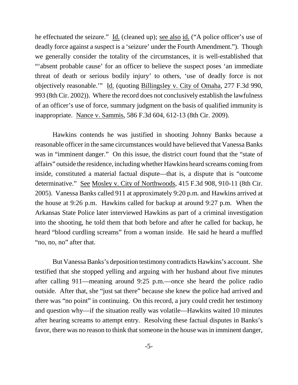he effectuated the seizure." Id. (cleaned up); <u>see also id.</u> ("A police officer's use of deadly force against a suspect is a 'seizure' under the Fourth Amendment."). Though we generally consider the totality of the circumstances, it is well-established that "'absent probable cause' for an officer to believe the suspect poses 'an immediate threat of death or serious bodily injury' to others, 'use of deadly force is not objectively reasonable.'" Id. (quoting Billingsley v. City of Omaha, 277 F.3d 990, 993 (8th Cir. 2002)). Where the record does not conclusively establish the lawfulness of an officer's use of force, summary judgment on the basis of qualified immunity is inappropriate. Nance v. Sammis, 586 F.3d 604, 612-13 (8th Cir. 2009).

Hawkins contends he was justified in shooting Johnny Banks because a reasonable officer in the same circumstances would have believed that Vanessa Banks was in "imminent danger." On this issue, the district court found that the "state of affairs" outside the residence, including whether Hawkins heard screams coming from inside, constituted a material factual dispute—that is, a dispute that is "outcome determinative." See Mosley v. City of Northwoods, 415 F.3d 908, 910-11 (8th Cir. 2005). Vanessa Banks called 911 at approximately 9:20 p.m. and Hawkins arrived at the house at 9:26 p.m. Hawkins called for backup at around 9:27 p.m. When the Arkansas State Police later interviewed Hawkins as part of a criminal investigation into the shooting, he told them that both before and after he called for backup, he heard "blood curdling screams" from a woman inside. He said he heard a muffled "no, no, no" after that.

But Vanessa Banks's deposition testimony contradicts Hawkins's account. She testified that she stopped yelling and arguing with her husband about five minutes after calling 911—meaning around 9:25 p.m.—once she heard the police radio outside. After that, she "just sat there" because she knew the police had arrived and there was "no point" in continuing. On this record, a jury could credit her testimony and question why—if the situation really was volatile—Hawkins waited 10 minutes after hearing screams to attempt entry. Resolving these factual disputes in Banks's favor, there was no reason to think that someone in the house was in imminent danger,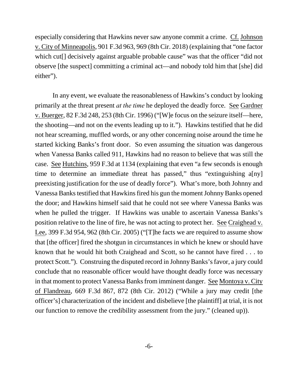especially considering that Hawkins never saw anyone commit a crime. Cf. Johnson v. City of Minneapolis, 901 F.3d 963, 969 (8th Cir. 2018) (explaining that "one factor which cut<sup>[]</sup> decisively against arguable probable cause" was that the officer "did not observe [the suspect] committing a criminal act—and nobody told him that [she] did either").

In any event, we evaluate the reasonableness of Hawkins's conduct by looking primarily at the threat present *at the time* he deployed the deadly force. See Gardner v. Buerger, 82 F.3d 248, 253 (8th Cir. 1996) ("[W]e focus on the seizure itself—here, the shooting—and not on the events leading up to it."). Hawkins testified that he did not hear screaming, muffled words, or any other concerning noise around the time he started kicking Banks's front door. So even assuming the situation was dangerous when Vanessa Banks called 911, Hawkins had no reason to believe that was still the case. See Hutchins, 959 F.3d at 1134 (explaining that even "a few seconds is enough time to determine an immediate threat has passed," thus "extinguishing a[ny] preexisting justification for the use of deadly force"). What's more, both Johnny and Vanessa Banks testified that Hawkins fired his gun the moment Johnny Banks opened the door; and Hawkins himself said that he could not see where Vanessa Banks was when he pulled the trigger. If Hawkins was unable to ascertain Vanessa Banks's position relative to the line of fire, he was not acting to protect her. See Craighead v. Lee, 399 F.3d 954, 962 (8th Cir. 2005) ("[T]he facts we are required to assume show that [the officer] fired the shotgun in circumstances in which he knew or should have known that he would hit both Craighead and Scott, so he cannot have fired . . . to protect Scott."). Construing the disputed record in Johnny Banks's favor, a jury could conclude that no reasonable officer would have thought deadly force was necessary in that moment to protect Vanessa Banks from imminent danger. See Montoya v. City of Flandreau, 669 F.3d 867, 872 (8th Cir. 2012) ("While a jury may credit [the officer's] characterization of the incident and disbelieve [the plaintiff] at trial, it is not our function to remove the credibility assessment from the jury." (cleaned up)).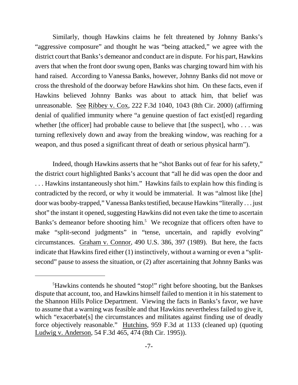Similarly, though Hawkins claims he felt threatened by Johnny Banks's "aggressive composure" and thought he was "being attacked," we agree with the district court that Banks's demeanor and conduct are in dispute. For his part, Hawkins avers that when the front door swung open, Banks was charging toward him with his hand raised. According to Vanessa Banks, however, Johnny Banks did not move or cross the threshold of the doorway before Hawkins shot him. On these facts, even if Hawkins believed Johnny Banks was about to attack him, that belief was unreasonable. See Ribbey v. Cox, 222 F.3d 1040, 1043 (8th Cir. 2000) (affirming denial of qualified immunity where "a genuine question of fact exist[ed] regarding whether [the officer] had probable cause to believe that [the suspect], who  $\dots$  was turning reflexively down and away from the breaking window, was reaching for a weapon, and thus posed a significant threat of death or serious physical harm").

Indeed, though Hawkins asserts that he "shot Banks out of fear for his safety," the district court highlighted Banks's account that "all he did was open the door and . . . Hawkins instantaneously shot him." Hawkins fails to explain how this finding is contradicted by the record, or why it would be immaterial. It was "almost like [the] door was booby-trapped," Vanessa Banks testified, because Hawkins "literally . . . just shot" the instant it opened, suggesting Hawkins did not even take the time to ascertain Banks's demeanor before shooting him.<sup>5</sup> We recognize that officers often have to make "split-second judgments" in "tense, uncertain, and rapidly evolving" circumstances. Graham v. Connor, 490 U.S. 386, 397 (1989). But here, the facts indicate that Hawkins fired either (1) instinctively, without a warning or even a "splitsecond" pause to assess the situation, or (2) after ascertaining that Johnny Banks was

<sup>5</sup>Hawkins contends he shouted "stop!" right before shooting, but the Bankses dispute that account, too, and Hawkins himself failed to mention it in his statement to the Shannon Hills Police Department. Viewing the facts in Banks's favor, we have to assume that a warning was feasible and that Hawkins nevertheless failed to give it, which "exacerbate[s] the circumstances and militates against finding use of deadly force objectively reasonable." Hutchins, 959 F.3d at 1133 (cleaned up) (quoting Ludwig v. Anderson, 54 F.3d 465, 474 (8th Cir. 1995)).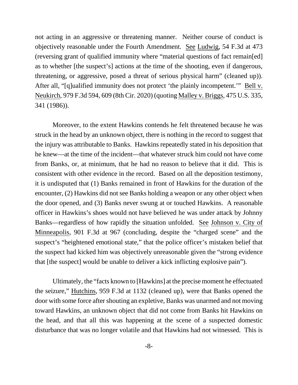not acting in an aggressive or threatening manner. Neither course of conduct is objectively reasonable under the Fourth Amendment. See Ludwig, 54 F.3d at 473 (reversing grant of qualified immunity where "material questions of fact remain[ed] as to whether [the suspect's] actions at the time of the shooting, even if dangerous, threatening, or aggressive, posed a threat of serious physical harm" (cleaned up)). After all, "[q]ualified immunity does not protect 'the plainly incompetent.'" Bell v. Neukirch, 979 F.3d 594, 609 (8th Cir. 2020) (quoting Malley v. Briggs, 475 U.S. 335, 341 (1986)).

Moreover, to the extent Hawkins contends he felt threatened because he was struck in the head by an unknown object, there is nothing in the record to suggest that the injury was attributable to Banks. Hawkins repeatedly stated in his deposition that he knew—at the time of the incident—that whatever struck him could not have come from Banks, or, at minimum, that he had no reason to believe that it did. This is consistent with other evidence in the record. Based on all the deposition testimony, it is undisputed that (1) Banks remained in front of Hawkins for the duration of the encounter, (2) Hawkins did not see Banks holding a weapon or any other object when the door opened, and (3) Banks never swung at or touched Hawkins. A reasonable officer in Hawkins's shoes would not have believed he was under attack by Johnny Banks—regardless of how rapidly the situation unfolded. See Johnson v. City of Minneapolis, 901 F.3d at 967 (concluding, despite the "charged scene" and the suspect's "heightened emotional state," that the police officer's mistaken belief that the suspect had kicked him was objectively unreasonable given the "strong evidence that [the suspect] would be unable to deliver a kick inflicting explosive pain").

Ultimately, the "facts known to [Hawkins] at the precise moment he effectuated the seizure," Hutchins, 959 F.3d at 1132 (cleaned up), were that Banks opened the door with some force after shouting an expletive, Banks was unarmed and not moving toward Hawkins, an unknown object that did not come from Banks hit Hawkins on the head, and that all this was happening at the scene of a suspected domestic disturbance that was no longer volatile and that Hawkins had not witnessed. This is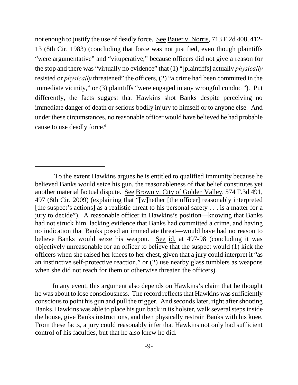not enough to justify the use of deadly force. See Bauer v. Norris, 713 F.2d 408, 412- 13 (8th Cir. 1983) (concluding that force was not justified, even though plaintiffs "were argumentative" and "vituperative," because officers did not give a reason for the stop and there was "virtually no evidence" that (1) "[plaintiffs] actually *physically* resisted or *physically* threatened" the officers, (2) "a crime had been committed in the immediate vicinity," or (3) plaintiffs "were engaged in any wrongful conduct"). Put differently, the facts suggest that Hawkins shot Banks despite perceiving no immediate danger of death or serious bodily injury to himself or to anyone else. And under these circumstances, no reasonable officer would have believed he had probable cause to use deadly force. 6

In any event, this argument also depends on Hawkins's claim that he thought he was about to lose consciousness. The record reflects that Hawkins was sufficiently conscious to point his gun and pull the trigger. And seconds later, right after shooting Banks, Hawkins was able to place his gun back in its holster, walk several steps inside the house, give Banks instructions, and then physically restrain Banks with his knee. From these facts, a jury could reasonably infer that Hawkins not only had sufficient control of his faculties, but that he also knew he did.

<sup>6</sup>To the extent Hawkins argues he is entitled to qualified immunity because he believed Banks would seize his gun, the reasonableness of that belief constitutes yet another material factual dispute. See Brown v. City of Golden Valley, 574 F.3d 491, 497 (8th Cir. 2009) (explaining that "[w]hether [the officer] reasonably interpreted [the suspect's actions] as a realistic threat to his personal safety  $\dots$  is a matter for a jury to decide"). A reasonable officer in Hawkins's position—knowing that Banks had not struck him, lacking evidence that Banks had committed a crime, and having no indication that Banks posed an immediate threat—would have had no reason to believe Banks would seize his weapon. See id. at 497-98 (concluding it was objectively unreasonable for an officer to believe that the suspect would (1) kick the officers when she raised her knees to her chest, given that a jury could interpret it "as an instinctive self-protective reaction," or (2) use nearby glass tumblers as weapons when she did not reach for them or otherwise threaten the officers).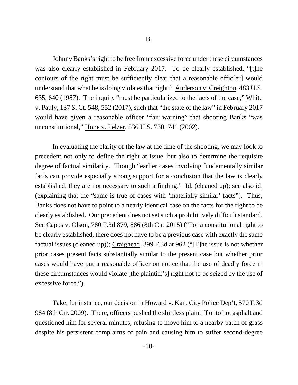Johnny Banks's right to be free from excessive force under these circumstances was also clearly established in February 2017. To be clearly established, "[t]he contours of the right must be sufficiently clear that a reasonable offic[er] would understand that what he is doing violates that right." Anderson v. Creighton, 483 U.S. 635, 640 (1987). The inquiry "must be particularized to the facts of the case," White v. Pauly, 137 S. Ct. 548, 552 (2017), such that "the state of the law" in February 2017 would have given a reasonable officer "fair warning" that shooting Banks "was unconstitutional," Hope v. Pelzer, 536 U.S. 730, 741 (2002).

In evaluating the clarity of the law at the time of the shooting, we may look to precedent not only to define the right at issue, but also to determine the requisite degree of factual similarity. Though "earlier cases involving fundamentally similar facts can provide especially strong support for a conclusion that the law is clearly established, they are not necessary to such a finding." Id. (cleaned up); see also id. (explaining that the "same is true of cases with 'materially similar' facts"). Thus, Banks does not have to point to a nearly identical case on the facts for the right to be clearly established. Our precedent does not set such a prohibitively difficult standard. See Capps v. Olson, 780 F.3d 879, 886 (8th Cir. 2015) ("For a constitutional right to be clearly established, there does not have to be a previous case with exactly the same factual issues (cleaned up)); Craighead, 399 F.3d at 962 ("[T]he issue is not whether prior cases present facts substantially similar to the present case but whether prior cases would have put a reasonable officer on notice that the use of deadly force in these circumstances would violate [the plaintiff's] right not to be seized by the use of excessive force.").

Take, for instance, our decision in Howard v. Kan. City Police Dep't, 570 F.3d 984 (8th Cir. 2009). There, officers pushed the shirtless plaintiff onto hot asphalt and questioned him for several minutes, refusing to move him to a nearby patch of grass despite his persistent complaints of pain and causing him to suffer second-degree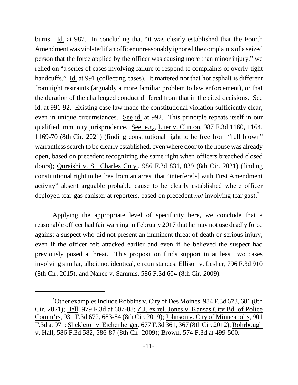burns. Id. at 987. In concluding that "it was clearly established that the Fourth Amendment was violated if an officer unreasonably ignored the complaints of a seized person that the force applied by the officer was causing more than minor injury," we relied on "a series of cases involving failure to respond to complaints of overly-tight handcuffs." Id. at 991 (collecting cases). It mattered not that hot asphalt is different from tight restraints (arguably a more familiar problem to law enforcement), or that the duration of the challenged conduct differed from that in the cited decisions. See id. at 991-92. Existing case law made the constitutional violation sufficiently clear, even in unique circumstances. See id. at 992. This principle repeats itself in our qualified immunity jurisprudence. See, e.g., Luer v. Clinton, 987 F.3d 1160, 1164, 1169-70 (8th Cir. 2021) (finding constitutional right to be free from "full blown" warrantless search to be clearly established, even where door to the house was already open, based on precedent recognizing the same right when officers breached closed doors); Quraishi v. St. Charles Cnty., 986 F.3d 831, 839 (8th Cir. 2021) (finding constitutional right to be free from an arrest that "interfere[s] with First Amendment activity" absent arguable probable cause to be clearly established where officer deployed tear-gas canister at reporters, based on precedent *not* involving tear gas).<sup>7</sup>

Applying the appropriate level of specificity here, we conclude that a reasonable officer had fair warning in February 2017 that he may not use deadly force against a suspect who did not present an imminent threat of death or serious injury, even if the officer felt attacked earlier and even if he believed the suspect had previously posed a threat. This proposition finds support in at least two cases involving similar, albeit not identical, circumstances: Ellison v. Lesher, 796 F.3d 910 (8th Cir. 2015), and Nance v. Sammis, 586 F.3d 604 (8th Cir. 2009).

<sup>7</sup>Other examples include Robbins v. City of Des Moines, 984 F.3d 673, 681 (8th Cir. 2021); Bell, 979 F.3d at 607-08; Z.J. ex rel. Jones v. Kansas City Bd. of Police Comm'rs, 931 F.3d 672, 683-84 (8th Cir. 2019); Johnson v. City of Minneapolis, 901 F.3d at 971; Shekleton v. Eichenberger, 677 F.3d 361, 367 (8th Cir. 2012); Rohrbough v. Hall, 586 F.3d 582, 586-87 (8th Cir. 2009); Brown, 574 F.3d at 499-500.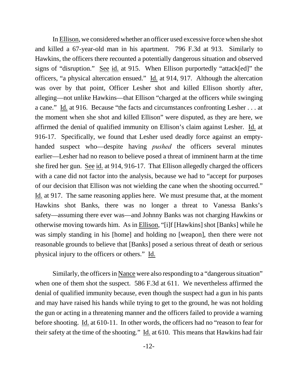In Ellison, we considered whether an officer used excessive force when she shot and killed a 67-year-old man in his apartment. 796 F.3d at 913. Similarly to Hawkins, the officers there recounted a potentially dangerous situation and observed signs of "disruption." See id. at 915. When Ellison purportedly "attack[ed]" the officers, "a physical altercation ensued." Id. at 914, 917. Although the altercation was over by that point, Officer Lesher shot and killed Ellison shortly after, alleging—not unlike Hawkins—that Ellison "charged at the officers while swinging a cane." Id. at 916. Because "the facts and circumstances confronting Lesher . . . at the moment when she shot and killed Ellison" were disputed, as they are here, we affirmed the denial of qualified immunity on Ellison's claim against Lesher. Id. at 916-17. Specifically, we found that Lesher used deadly force against an emptyhanded suspect who—despite having *pushed* the officers several minutes earlier—Lesher had no reason to believe posed a threat of imminent harm at the time she fired her gun. See id. at 914, 916-17. That Ellison allegedly charged the officers with a cane did not factor into the analysis, because we had to "accept for purposes" of our decision that Ellison was not wielding the cane when the shooting occurred." Id. at 917. The same reasoning applies here. We must presume that, at the moment Hawkins shot Banks, there was no longer a threat to Vanessa Banks's safety—assuming there ever was—and Johnny Banks was not charging Hawkins or otherwise moving towards him. As in Ellison, "[i]f [Hawkins] shot [Banks] while he was simply standing in his [home] and holding no [weapon], then there were not reasonable grounds to believe that [Banks] posed a serious threat of death or serious physical injury to the officers or others." Id.

Similarly, the officers in Nance were also responding to a "dangerous situation" when one of them shot the suspect. 586 F.3d at 611. We nevertheless affirmed the denial of qualified immunity because, even though the suspect had a gun in his pants and may have raised his hands while trying to get to the ground, he was not holding the gun or acting in a threatening manner and the officers failed to provide a warning before shooting. Id. at 610-11. In other words, the officers had no "reason to fear for their safety at the time of the shooting." Id. at 610. This means that Hawkins had fair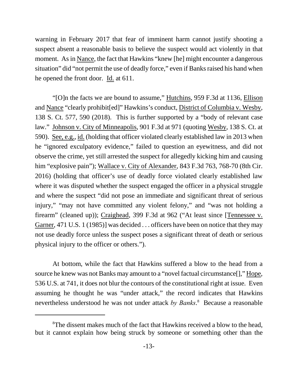warning in February 2017 that fear of imminent harm cannot justify shooting a suspect absent a reasonable basis to believe the suspect would act violently in that moment. As in Nance, the fact that Hawkins "knew [he] might encounter a dangerous situation" did "not permit the use of deadly force," even if Banks raised his hand when he opened the front door. Id. at 611.

"[O]n the facts we are bound to assume," Hutchins, 959 F.3d at 1136, Ellison and Nance "clearly prohibit[ed]" Hawkins's conduct, District of Columbia v. Wesby, 138 S. Ct. 577, 590 (2018). This is further supported by a "body of relevant case law." Johnson v. City of Minneapolis, 901 F.3d at 971 (quoting Wesby, 138 S. Ct. at 590). See, e.g., id. (holding that officer violated clearly established law in 2013 when he "ignored exculpatory evidence," failed to question an eyewitness, and did not observe the crime, yet still arrested the suspect for allegedly kicking him and causing him "explosive pain"); Wallace v. City of Alexander, 843 F.3d 763, 768-70 (8th Cir. 2016) (holding that officer's use of deadly force violated clearly established law where it was disputed whether the suspect engaged the officer in a physical struggle and where the suspect "did not pose an immediate and significant threat of serious injury," "may not have committed any violent felony," and "was not holding a firearm" (cleaned up)); Craighead, 399 F.3d at 962 ("At least since [Tennessee v. Garner, 471 U.S. 1 (1985)] was decided . . . officers have been on notice that they may not use deadly force unless the suspect poses a significant threat of death or serious physical injury to the officer or others.").

At bottom, while the fact that Hawkins suffered a blow to the head from a source he knew was not Banks may amount to a "novel factual circumstance[]," Hope, 536 U.S. at 741, it does not blur the contours of the constitutional right at issue. Even assuming he thought he was "under attack," the record indicates that Hawkins nevertheless understood he was not under attack *by Banks*. 8 Because a reasonable

<sup>&</sup>lt;sup>8</sup>The dissent makes much of the fact that Hawkins received a blow to the head, but it cannot explain how being struck by someone or something other than the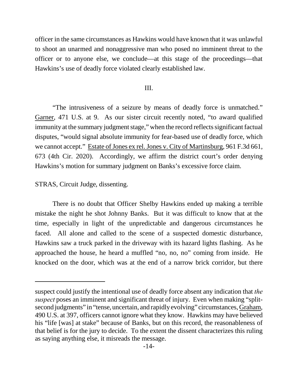officer in the same circumstances as Hawkins would have known that it was unlawful to shoot an unarmed and nonaggressive man who posed no imminent threat to the officer or to anyone else, we conclude—at this stage of the proceedings—that Hawkins's use of deadly force violated clearly established law.

### III.

"The intrusiveness of a seizure by means of deadly force is unmatched." Garner, 471 U.S. at 9. As our sister circuit recently noted, "to award qualified immunity at the summary judgment stage," when the record reflects significant factual disputes, "would signal absolute immunity for fear-based use of deadly force, which we cannot accept." Estate of Jones ex rel. Jones v. City of Martinsburg, 961 F.3d 661, 673 (4th Cir. 2020). Accordingly, we affirm the district court's order denying Hawkins's motion for summary judgment on Banks's excessive force claim.

STRAS, Circuit Judge, dissenting.

There is no doubt that Officer Shelby Hawkins ended up making a terrible mistake the night he shot Johnny Banks. But it was difficult to know that at the time, especially in light of the unpredictable and dangerous circumstances he faced. All alone and called to the scene of a suspected domestic disturbance, Hawkins saw a truck parked in the driveway with its hazard lights flashing. As he approached the house, he heard a muffled "no, no, no" coming from inside. He knocked on the door, which was at the end of a narrow brick corridor, but there

suspect could justify the intentional use of deadly force absent any indication that *the suspect* poses an imminent and significant threat of injury. Even when making "splitsecond judgments" in "tense, uncertain, and rapidly evolving" circumstances, Graham, 490 U.S. at 397, officers cannot ignore what they know. Hawkins may have believed his "life [was] at stake" because of Banks, but on this record, the reasonableness of that belief is for the jury to decide. To the extent the dissent characterizes this ruling as saying anything else, it misreads the message.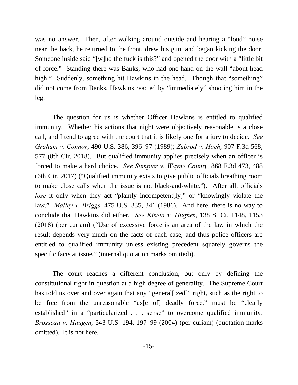was no answer. Then, after walking around outside and hearing a "loud" noise near the back, he returned to the front, drew his gun, and began kicking the door. Someone inside said "[w]ho the fuck is this?" and opened the door with a "little bit of force." Standing there was Banks, who had one hand on the wall "about head high." Suddenly, something hit Hawkins in the head. Though that "something" did not come from Banks, Hawkins reacted by "immediately" shooting him in the leg.

The question for us is whether Officer Hawkins is entitled to qualified immunity. Whether his actions that night were objectively reasonable is a close call, and I tend to agree with the court that it is likely one for a jury to decide. *See Graham v. Connor*, 490 U.S. 386, 396–97 (1989); *Zubrod v. Hoch*, 907 F.3d 568, 577 (8th Cir. 2018). But qualified immunity applies precisely when an officer is forced to make a hard choice. *See Sumpter v. Wayne County*, 868 F.3d 473, 488 (6th Cir. 2017) ("Qualified immunity exists to give public officials breathing room to make close calls when the issue is not black-and-white."). After all, officials *lose* it only when they act "plainly incompetent<sup>[ly]"</sup> or "knowingly violate the law." *Malley v. Briggs*, 475 U.S. 335, 341 (1986). And here, there is no way to conclude that Hawkins did either. *See Kisela v. Hughes*, 138 S. Ct. 1148, 1153 (2018) (per curiam) ("Use of excessive force is an area of the law in which the result depends very much on the facts of each case, and thus police officers are entitled to qualified immunity unless existing precedent squarely governs the specific facts at issue." (internal quotation marks omitted)).

The court reaches a different conclusion, but only by defining the constitutional right in question at a high degree of generality. The Supreme Court has told us over and over again that any "general [ized]" right, such as the right to be free from the unreasonable "us[e of] deadly force," must be "clearly established" in a "particularized . . . sense" to overcome qualified immunity. *Brosseau v. Haugen*, 543 U.S. 194, 197–99 (2004) (per curiam) (quotation marks omitted). It is not here.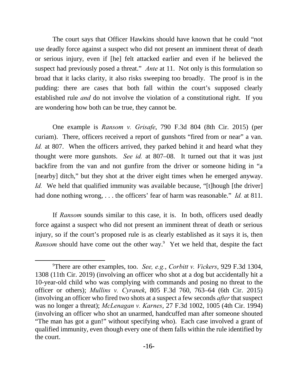The court says that Officer Hawkins should have known that he could "not use deadly force against a suspect who did not present an imminent threat of death or serious injury, even if [he] felt attacked earlier and even if he believed the suspect had previously posed a threat." *Ante* at 11. Not only is this formulation so broad that it lacks clarity, it also risks sweeping too broadly. The proof is in the pudding: there are cases that both fall within the court's supposed clearly established rule *and* do not involve the violation of a constitutional right. If you are wondering how both can be true, they cannot be.

One example is *Ransom v. Grisafe*, 790 F.3d 804 (8th Cir. 2015) (per curiam). There, officers received a report of gunshots "fired from or near" a van. *Id.* at 807. When the officers arrived, they parked behind it and heard what they thought were more gunshots. *See id.* at 807–08. It turned out that it was just backfire from the van and not gunfire from the driver or someone hiding in "a [nearby] ditch," but they shot at the driver eight times when he emerged anyway. *Id.* We held that qualified immunity was available because, "[t]hough [the driver] had done nothing wrong, . . . the officers' fear of harm was reasonable." *Id.* at 811.

If *Ransom* sounds similar to this case, it is. In both, officers used deadly force against a suspect who did not present an imminent threat of death or serious injury, so if the court's proposed rule is as clearly established as it says it is, then *Ransom* should have come out the other way.<sup>9</sup> Yet we held that, despite the fact

<sup>9</sup>There are other examples, too. *See, e.g.*, *Corbitt v. Vickers*, 929 F.3d 1304, 1308 (11th Cir. 2019) (involving an officer who shot at a dog but accidentally hit a 10-year-old child who was complying with commands and posing no threat to the officer or others); *Mullins v. Cyranek*, 805 F.3d 760, 763–64 (6th Cir. 2015) (involving an officer who fired two shots at a suspect a few seconds *after* that suspect was no longer a threat); *McLenagan v. Karnes*, 27 F.3d 1002, 1005 (4th Cir. 1994) (involving an officer who shot an unarmed, handcuffed man after someone shouted "The man has got a gun!" without specifying who). Each case involved a grant of qualified immunity, even though every one of them falls within the rule identified by the court.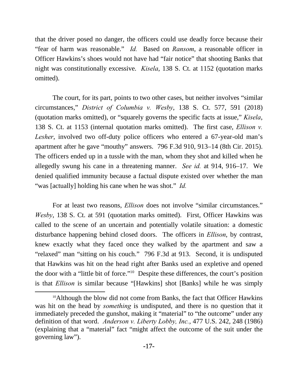that the driver posed no danger, the officers could use deadly force because their "fear of harm was reasonable." *Id.* Based on *Ransom*, a reasonable officer in Officer Hawkins's shoes would not have had "fair notice" that shooting Banks that night was constitutionally excessive. *Kisela*, 138 S. Ct. at 1152 (quotation marks omitted).

The court, for its part, points to two other cases, but neither involves "similar circumstances," *District of Columbia v. Wesby*, 138 S. Ct. 577, 591 (2018) (quotation marks omitted), or "squarely governs the specific facts at issue," *Kisela*, 138 S. Ct. at 1153 (internal quotation marks omitted). The first case, *Ellison v. Lesher*, involved two off-duty police officers who entered a 67-year-old man's apartment after he gave "mouthy" answers. 796 F.3d 910, 913–14 (8th Cir. 2015). The officers ended up in a tussle with the man, whom they shot and killed when he allegedly swung his cane in a threatening manner. *See id.* at 914, 916–17. We denied qualified immunity because a factual dispute existed over whether the man "was [actually] holding his cane when he was shot." *Id.*

For at least two reasons, *Ellison* does not involve "similar circumstances." *Wesby*, 138 S. Ct. at 591 (quotation marks omitted). First, Officer Hawkins was called to the scene of an uncertain and potentially volatile situation: a domestic disturbance happening behind closed doors. The officers in *Ellison*, by contrast, knew exactly what they faced once they walked by the apartment and saw a "relaxed" man "sitting on his couch." 796 F.3d at 913. Second, it is undisputed that Hawkins was hit on the head right after Banks used an expletive and opened the door with a "little bit of force."<sup>10</sup> Despite these differences, the court's position is that *Ellison* is similar because "[Hawkins] shot [Banks] while he was simply

<sup>&</sup>lt;sup>10</sup>Although the blow did not come from Banks, the fact that Officer Hawkins was hit on the head by *something* is undisputed, and there is no question that it immediately preceded the gunshot, making it "material" to "the outcome" under any definition of that word. *Anderson v. Liberty Lobby, Inc.*, 477 U.S. 242, 248 (1986) (explaining that a "material" fact "might affect the outcome of the suit under the governing law").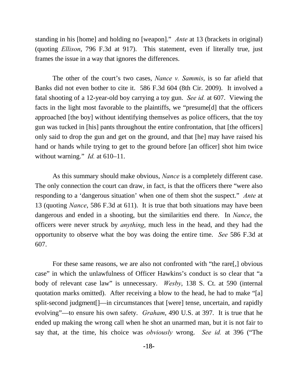standing in his [home] and holding no [weapon]." *Ante* at 13 (brackets in original) (quoting *Ellison*, 796 F.3d at 917). This statement, even if literally true, just frames the issue in a way that ignores the differences.

The other of the court's two cases, *Nance v. Sammis*, is so far afield that Banks did not even bother to cite it. 586 F.3d 604 (8th Cir. 2009). It involved a fatal shooting of a 12-year-old boy carrying a toy gun. *See id.* at 607. Viewing the facts in the light most favorable to the plaintiffs, we "presume[d] that the officers approached [the boy] without identifying themselves as police officers, that the toy gun was tucked in [his] pants throughout the entire confrontation, that [the officers] only said to drop the gun and get on the ground, and that [he] may have raised his hand or hands while trying to get to the ground before [an officer] shot him twice without warning." *Id.* at 610–11.

As this summary should make obvious, *Nance* is a completely different case. The only connection the court can draw, in fact, is that the officers there "were also responding to a 'dangerous situation' when one of them shot the suspect." *Ante* at 13 (quoting *Nance*, 586 F.3d at 611). It is true that both situations may have been dangerous and ended in a shooting, but the similarities end there. In *Nance*, the officers were never struck by *anything*, much less in the head, and they had the opportunity to observe what the boy was doing the entire time. *See* 586 F.3d at 607.

For these same reasons, we are also not confronted with "the rare[,] obvious case" in which the unlawfulness of Officer Hawkins's conduct is so clear that "a body of relevant case law" is unnecessary. *Wesby*, 138 S. Ct. at 590 (internal quotation marks omitted). After receiving a blow to the head, he had to make "[a] split-second judgment[]—in circumstances that [were] tense, uncertain, and rapidly evolving"—to ensure his own safety. *Graham*, 490 U.S. at 397. It is true that he ended up making the wrong call when he shot an unarmed man, but it is not fair to say that, at the time, his choice was *obviously* wrong. *See id.* at 396 ("The